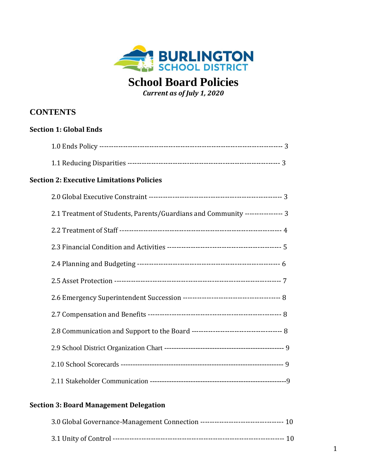

# **School Board Policies**

*Current as of July 1, 2020*

# **CONTENTS**

| <b>Section 1: Global Ends</b> |                                                                               |  |
|-------------------------------|-------------------------------------------------------------------------------|--|
|                               |                                                                               |  |
|                               |                                                                               |  |
|                               | <b>Section 2: Executive Limitations Policies</b>                              |  |
|                               |                                                                               |  |
|                               | 2.1 Treatment of Students, Parents/Guardians and Community ---------------- 3 |  |
|                               |                                                                               |  |
|                               |                                                                               |  |
|                               |                                                                               |  |
|                               |                                                                               |  |
|                               |                                                                               |  |
|                               |                                                                               |  |
|                               |                                                                               |  |
|                               |                                                                               |  |
|                               |                                                                               |  |
|                               |                                                                               |  |
|                               |                                                                               |  |

### **Section 3: Board Management Delegation**

| 3.0 Global Governance-Management Connection ----------------------------------- 10 |  |
|------------------------------------------------------------------------------------|--|
|                                                                                    |  |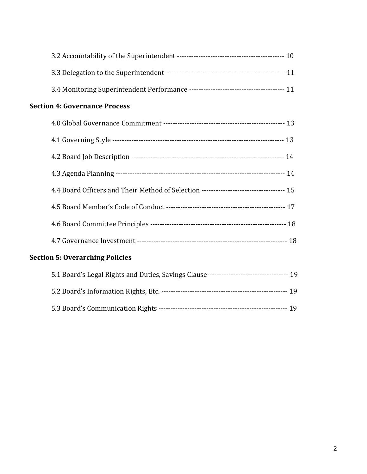| <b>Section 4: Governance Process</b> |                                                                                         |  |  |  |
|--------------------------------------|-----------------------------------------------------------------------------------------|--|--|--|
|                                      |                                                                                         |  |  |  |
|                                      |                                                                                         |  |  |  |
|                                      |                                                                                         |  |  |  |
|                                      |                                                                                         |  |  |  |
|                                      |                                                                                         |  |  |  |
|                                      |                                                                                         |  |  |  |
|                                      |                                                                                         |  |  |  |
|                                      |                                                                                         |  |  |  |
|                                      | <b>Section 5: Overarching Policies</b>                                                  |  |  |  |
|                                      | 5.1 Board's Legal Rights and Duties, Savings Clause--------------------------------- 19 |  |  |  |
|                                      |                                                                                         |  |  |  |
|                                      |                                                                                         |  |  |  |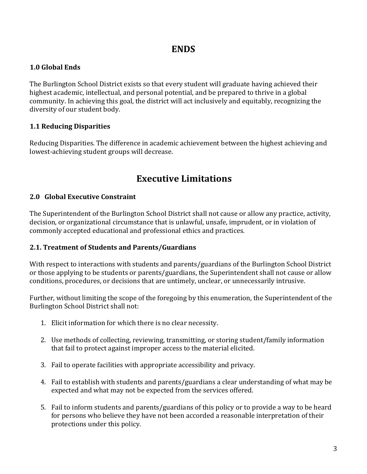# **ENDS**

#### **1.0 Global Ends**

The Burlington School District exists so that every student will graduate having achieved their highest academic, intellectual, and personal potential, and be prepared to thrive in a global community. In achieving this goal, the district will act inclusively and equitably, recognizing the diversity of our student body.

#### **1.1 Reducing Disparities**

Reducing Disparities. The difference in academic achievement between the highest achieving and lowest-achieving student groups will decrease.

# **Executive Limitations**

#### **2.0 Global Executive Constraint**

The Superintendent of the Burlington School District shall not cause or allow any practice, activity, decision, or organizational circumstance that is unlawful, unsafe, imprudent, or in violation of commonly accepted educational and professional ethics and practices.

#### **2.1. Treatment of Students and Parents/Guardians**

With respect to interactions with students and parents/guardians of the Burlington School District or those applying to be students or parents/guardians, the Superintendent shall not cause or allow conditions, procedures, or decisions that are untimely, unclear, or unnecessarily intrusive.

Further, without limiting the scope of the foregoing by this enumeration, the Superintendent of the Burlington School District shall not:

- 1. Elicit information for which there is no clear necessity.
- 2. Use methods of collecting, reviewing, transmitting, or storing student/family information that fail to protect against improper access to the material elicited.
- 3. Fail to operate facilities with appropriate accessibility and privacy.
- 4. Fail to establish with students and parents/guardians a clear understanding of what may be expected and what may not be expected from the services offered.
- 5. Fail to inform students and parents/guardians of this policy or to provide a way to be heard for persons who believe they have not been accorded a reasonable interpretation of their protections under this policy.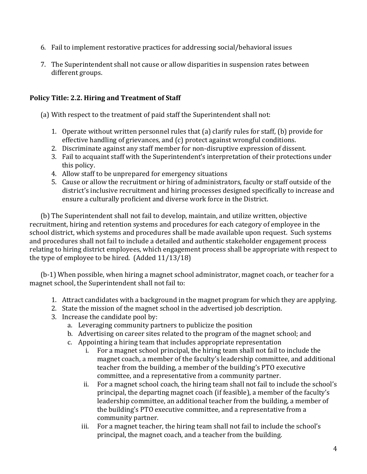- 6. Fail to implement restorative practices for addressing social/behavioral issues
- 7. The Superintendent shall not cause or allow disparities in suspension rates between different groups.

#### **Policy Title: 2.2. Hiring and Treatment of Staff**

(a) With respect to the treatment of paid staff the Superintendent shall not:

- 1. Operate without written personnel rules that (a) clarify rules for staff, (b) provide for effective handling of grievances, and (c) protect against wrongful conditions.
- 2. Discriminate against any staff member for non-disruptive expression of dissent.
- 3. Fail to acquaint staff with the Superintendent's interpretation of their protections under this policy.
- 4. Allow staff to be unprepared for emergency situations
- 5. Cause or allow the recruitment or hiring of administrators, faculty or staff outside of the district's inclusive recruitment and hiring processes designed specifically to increase and ensure a culturally proficient and diverse work force in the District.

(b) The Superintendent shall not fail to develop, maintain, and utilize written, objective recruitment, hiring and retention systems and procedures for each category of employee in the school district, which systems and procedures shall be made available upon request. Such systems and procedures shall not fail to include a detailed and authentic stakeholder engagement process relating to hiring district employees, which engagement process shall be appropriate with respect to the type of employee to be hired. (Added 11/13/18)

(b-1) When possible, when hiring a magnet school administrator, magnet coach, or teacher for a magnet school, the Superintendent shall not fail to:

- 1. Attract candidates with a background in the magnet program for which they are applying.
- 2. State the mission of the magnet school in the advertised job description.
- 3. Increase the candidate pool by:
	- a. Leveraging community partners to publicize the position
	- b. Advertising on career sites related to the program of the magnet school; and
	- c. Appointing a hiring team that includes appropriate representation
		- i. For a magnet school principal, the hiring team shall not fail to include the magnet coach, a member of the faculty's leadership committee, and additional teacher from the building, a member of the building's PTO executive committee, and a representative from a community partner.
		- ii. For a magnet school coach, the hiring team shall not fail to include the school's principal, the departing magnet coach (if feasible), a member of the faculty's leadership committee, an additional teacher from the building, a member of the building's PTO executive committee, and a representative from a community partner.
		- iii. For a magnet teacher, the hiring team shall not fail to include the school's principal, the magnet coach, and a teacher from the building.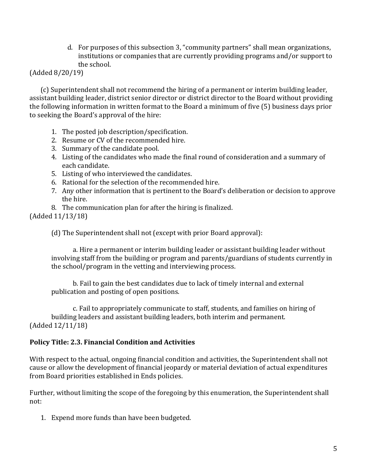d. For purposes of this subsection 3, "community partners" shall mean organizations, institutions or companies that are currently providing programs and/or support to the school.

#### (Added 8/20/19)

(c) Superintendent shall not recommend the hiring of a permanent or interim building leader, assistant building leader, district senior director or district director to the Board without providing the following information in written format to the Board a minimum of five (5) business days prior to seeking the Board's approval of the hire:

- 1. The posted job description/specification.
- 2. Resume or CV of the recommended hire.
- 3. Summary of the candidate pool.
- 4. Listing of the candidates who made the final round of consideration and a summary of each candidate.
- 5. Listing of who interviewed the candidates.
- 6. Rational for the selection of the recommended hire.
- 7. Any other information that is pertinent to the Board's deliberation or decision to approve the hire.
- 8. The communication plan for after the hiring is finalized.

(Added 11/13/18)

(d) The Superintendent shall not (except with prior Board approval):

a. Hire a permanent or interim building leader or assistant building leader without involving staff from the building or program and parents/guardians of students currently in the school/program in the vetting and interviewing process.

b. Fail to gain the best candidates due to lack of timely internal and external publication and posting of open positions.

c. Fail to appropriately communicate to staff, students, and families on hiring of building leaders and assistant building leaders, both interim and permanent. (Added 12/11/18)

#### **Policy Title: 2.3. Financial Condition and Activities**

With respect to the actual, ongoing financial condition and activities, the Superintendent shall not cause or allow the development of financial jeopardy or material deviation of actual expenditures from Board priorities established in Ends policies.

Further, without limiting the scope of the foregoing by this enumeration, the Superintendent shall not:

1. Expend more funds than have been budgeted.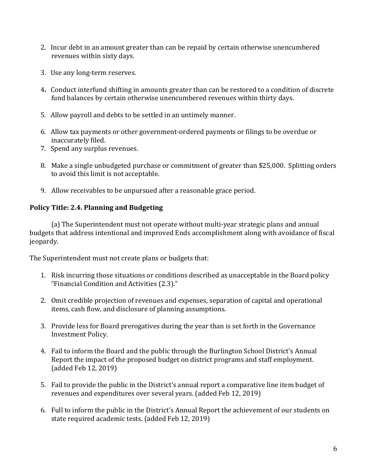- 2. Incur debt in an amount greater than can be repaid by certain otherwise unencumbered revenues within sixty days.
- 3. Use any long-term reserves.
- 4**.** Conduct interfund shifting in amounts greater than can be restored to a condition of discrete fund balances by certain otherwise unencumbered revenues within thirty days.
- 5. Allow payroll and debts to be settled in an untimely manner.
- 6. Allow tax payments or other government-ordered payments or filings to be overdue or inaccurately filed.
- 7. Spend any surplus revenues.
- 8. Make a single unbudgeted purchase or commitment of greater than \$25,000. Splitting orders to avoid this limit is not acceptable.
- 9. Allow receivables to be unpursued after a reasonable grace period.

# **Policy Title: 2.4. Planning and Budgeting**

(a) The Superintendent must not operate without multi-year strategic plans and annual budgets that address intentional and improved Ends accomplishment along with avoidance of fiscal jeopardy.

The Superintendent must not create plans or budgets that:

- 1. Risk incurring those situations or conditions described as unacceptable in the Board policy "Financial Condition and Activities (2.3)."
- 2. Omit credible projection of revenues and expenses, separation of capital and operational items, cash flow, and disclosure of planning assumptions.
- 3. Provide less for Board prerogatives during the year than is set forth in the Governance Investment Policy.
- 4. Fail to inform the Board and the public through the Burlington School District's Annual Report the impact of the proposed budget on district programs and staff employment. (added Feb 12, 2019)
- 5. Fail to provide the public in the District's annual report a comparative line item budget of revenues and expenditures over several years. (added Feb 12, 2019)
- 6. Full to inform the public in the District's Annual Report the achievement of our students on state required academic tests. (added Feb 12, 2019)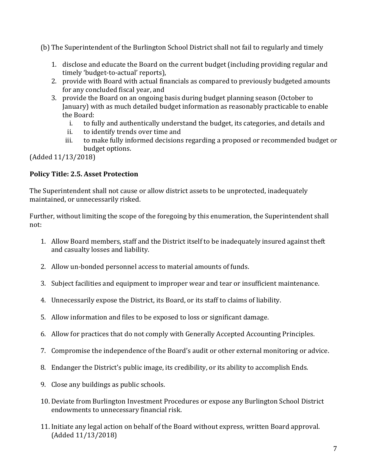(b) The Superintendent of the Burlington School District shall not fail to regularly and timely

- 1. disclose and educate the Board on the current budget (including providing regular and timely 'budget-to-actual' reports),
- 2. provide with Board with actual financials as compared to previously budgeted amounts for any concluded fiscal year, and
- 3. provide the Board on an ongoing basis during budget planning season (October to January) with as much detailed budget information as reasonably practicable to enable the Board:
	- i. to fully and authentically understand the budget, its categories, and details and
	- ii. to identify trends over time and
	- iii. to make fully informed decisions regarding a proposed or recommended budget or budget options.

(Added 11/13/2018)

# **Policy Title: 2.5. Asset Protection**

The Superintendent shall not cause or allow district assets to be unprotected, inadequately maintained, or unnecessarily risked.

Further, without limiting the scope of the foregoing by this enumeration, the Superintendent shall not:

- 1. Allow Board members, staff and the District itself to be inadequately insured against theft and casualty losses and liability.
- 2. Allow un-bonded personnel access to material amounts of funds.
- 3. Subject facilities and equipment to improper wear and tear or insufficient maintenance.
- 4. Unnecessarily expose the District, its Board, or its staff to claims of liability.
- 5. Allow information and files to be exposed to loss or significant damage.
- 6. Allow for practices that do not comply with Generally Accepted Accounting Principles.
- 7. Compromise the independence of the Board's audit or other external monitoring or advice.
- 8. Endanger the District's public image, its credibility, or its ability to accomplish Ends.
- 9. Close any buildings as public schools.
- 10. Deviate from Burlington Investment Procedures or expose any Burlington School District endowments to unnecessary financial risk.
- 11. Initiate any legal action on behalf of the Board without express, written Board approval. (Added 11/13/2018)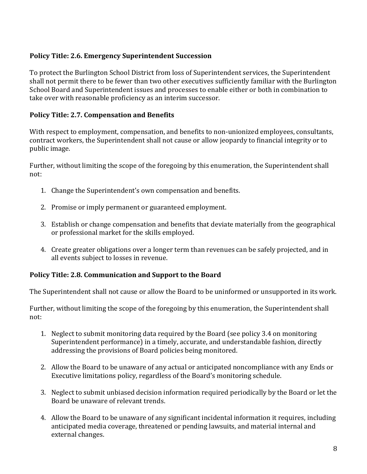### **Policy Title: 2.6. Emergency Superintendent Succession**

To protect the Burlington School District from loss of Superintendent services, the Superintendent shall not permit there to be fewer than two other executives sufficiently familiar with the Burlington School Board and Superintendent issues and processes to enable either or both in combination to take over with reasonable proficiency as an interim successor.

#### **Policy Title: 2.7. Compensation and Benefits**

With respect to employment, compensation, and benefits to non-unionized employees, consultants, contract workers, the Superintendent shall not cause or allow jeopardy to financial integrity or to public image.

Further, without limiting the scope of the foregoing by this enumeration, the Superintendent shall not:

- 1. Change the Superintendent's own compensation and benefits.
- 2. Promise or imply permanent or guaranteed employment.
- 3. Establish or change compensation and benefits that deviate materially from the geographical or professional market for the skills employed.
- 4. Create greater obligations over a longer term than revenues can be safely projected, and in all events subject to losses in revenue.

#### **Policy Title: 2.8. Communication and Support to the Board**

The Superintendent shall not cause or allow the Board to be uninformed or unsupported in its work.

Further, without limiting the scope of the foregoing by this enumeration, the Superintendent shall not:

- 1. Neglect to submit monitoring data required by the Board (see policy 3.4 on monitoring Superintendent performance) in a timely, accurate, and understandable fashion, directly addressing the provisions of Board policies being monitored.
- 2. Allow the Board to be unaware of any actual or anticipated noncompliance with any Ends or Executive limitations policy, regardless of the Board's monitoring schedule.
- 3. Neglect to submit unbiased decision information required periodically by the Board or let the Board be unaware of relevant trends.
- 4. Allow the Board to be unaware of any significant incidental information it requires, including anticipated media coverage, threatened or pending lawsuits, and material internal and external changes.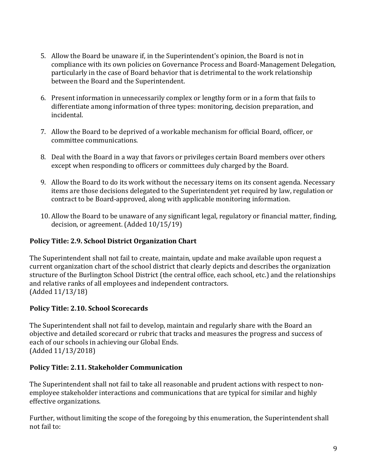- 5. Allow the Board be unaware if, in the Superintendent's opinion, the Board is not in compliance with its own policies on Governance Process and Board-Management Delegation, particularly in the case of Board behavior that is detrimental to the work relationship between the Board and the Superintendent.
- 6. Present information in unnecessarily complex or lengthy form or in a form that fails to differentiate among information of three types: monitoring, decision preparation, and incidental.
- 7. Allow the Board to be deprived of a workable mechanism for official Board, officer, or committee communications.
- 8. Deal with the Board in a way that favors or privileges certain Board members over others except when responding to officers or committees duly charged by the Board.
- 9. Allow the Board to do its work without the necessary items on its consent agenda. Necessary items are those decisions delegated to the Superintendent yet required by law, regulation or contract to be Board-approved, along with applicable monitoring information.
- 10. Allow the Board to be unaware of any significant legal, regulatory or financial matter, finding, decision, or agreement. (Added 10/15/19)

# **Policy Title: 2.9. School District Organization Chart**

The Superintendent shall not fail to create, maintain, update and make available upon request a current organization chart of the school district that clearly depicts and describes the organization structure of the Burlington School District (the central office, each school, etc.) and the relationships and relative ranks of all employees and independent contractors. (Added 11/13/18)

# **Policy Title: 2.10. School Scorecards**

The Superintendent shall not fail to develop, maintain and regularly share with the Board an objective and detailed scorecard or rubric that tracks and measures the progress and success of each of our schools in achieving our Global Ends. (Added 11/13/2018)

#### **Policy Title: 2.11. Stakeholder Communication**

The Superintendent shall not fail to take all reasonable and prudent actions with respect to nonemployee stakeholder interactions and communications that are typical for similar and highly effective organizations.

Further, without limiting the scope of the foregoing by this enumeration, the Superintendent shall not fail to: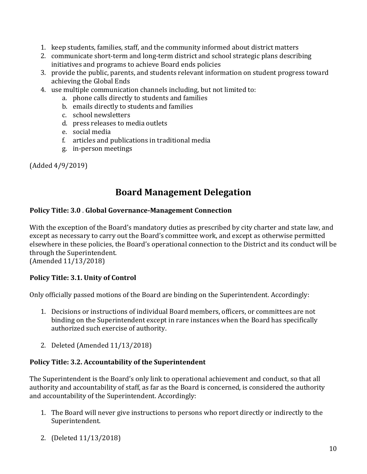- 1. keep students, families, staff, and the community informed about district matters
- 2. communicate short-term and long-term district and school strategic plans describing initiatives and programs to achieve Board ends policies
- 3. provide the public, parents, and students relevant information on student progress toward achieving the Global Ends
- 4. use multiple communication channels including, but not limited to:
	- a. phone calls directly to students and families
	- b. emails directly to students and families
	- c. school newsletters
	- d. press releases to media outlets
	- e. social media
	- f. articles and publications in traditional media
	- g. in-person meetings

(Added 4/9/2019)

# **Board Management Delegation**

#### **Policy Title: 3.0** . **Global Governance-Management Connection**

With the exception of the Board's mandatory duties as prescribed by city charter and state law, and except as necessary to carry out the Board's committee work, and except as otherwise permitted elsewhere in these policies, the Board's operational connection to the District and its conduct will be through the Superintendent.

(Amended 11/13/2018)

#### **Policy Title: 3.1. Unity of Control**

Only officially passed motions of the Board are binding on the Superintendent. Accordingly:

- 1. Decisions or instructions of individual Board members, officers, or committees are not binding on the Superintendent except in rare instances when the Board has specifically authorized such exercise of authority.
- 2. Deleted (Amended 11/13/2018)

#### **Policy Title: 3.2. Accountability of the Superintendent**

The Superintendent is the Board's only link to operational achievement and conduct, so that all authority and accountability of staff, as far as the Board is concerned, is considered the authority and accountability of the Superintendent. Accordingly:

- 1. The Board will never give instructions to persons who report directly or indirectly to the Superintendent.
- 2. (Deleted 11/13/2018)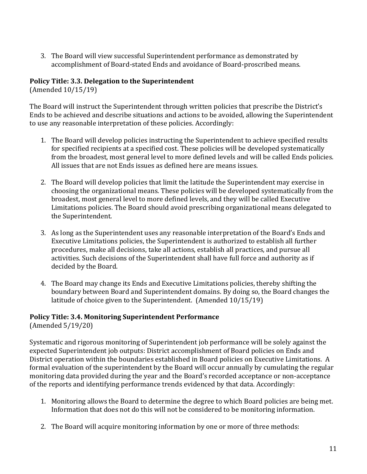3. The Board will view successful Superintendent performance as demonstrated by accomplishment of Board-stated Ends and avoidance of Board-proscribed means.

#### **Policy Title: 3.3. Delegation to the Superintendent**

(Amended 10/15/19)

The Board will instruct the Superintendent through written policies that prescribe the District's Ends to be achieved and describe situations and actions to be avoided, allowing the Superintendent to use any reasonable interpretation of these policies. Accordingly:

- 1. The Board will develop policies instructing the Superintendent to achieve specified results for specified recipients at a specified cost. These policies will be developed systematically from the broadest, most general level to more defined levels and will be called Ends policies. All issues that are not Ends issues as defined here are means issues.
- 2. The Board will develop policies that limit the latitude the Superintendent may exercise in choosing the organizational means. These policies will be developed systematically from the broadest, most general level to more defined levels, and they will be called Executive Limitations policies. The Board should avoid prescribing organizational means delegated to the Superintendent.
- 3. As long as the Superintendent uses any reasonable interpretation of the Board's Ends and Executive Limitations policies, the Superintendent is authorized to establish all further procedures, make all decisions, take all actions, establish all practices, and pursue all activities. Such decisions of the Superintendent shall have full force and authority as if decided by the Board.
- 4. The Board may change its Ends and Executive Limitations policies, thereby shifting the boundary between Board and Superintendent domains. By doing so, the Board changes the latitude of choice given to the Superintendent. (Amended 10/15/19)

# **Policy Title: 3.4. Monitoring Superintendent Performance**

(Amended 5/19/20)

Systematic and rigorous monitoring of Superintendent job performance will be solely against the expected Superintendent job outputs: District accomplishment of Board policies on Ends and District operation within the boundaries established in Board policies on Executive Limitations. A formal evaluation of the superintendent by the Board will occur annually by cumulating the regular monitoring data provided during the year and the Board's recorded acceptance or non-acceptance of the reports and identifying performance trends evidenced by that data. Accordingly:

- 1. Monitoring allows the Board to determine the degree to which Board policies are being met. Information that does not do this will not be considered to be monitoring information.
- 2. The Board will acquire monitoring information by one or more of three methods: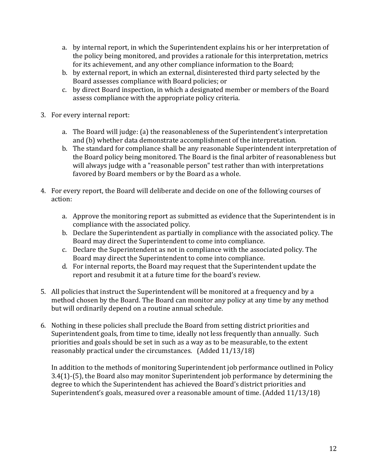- a. by internal report, in which the Superintendent explains his or her interpretation of the policy being monitored, and provides a rationale for this interpretation, metrics for its achievement, and any other compliance information to the Board;
- b. by external report, in which an external, disinterested third party selected by the Board assesses compliance with Board policies; or
- c. by direct Board inspection, in which a designated member or members of the Board assess compliance with the appropriate policy criteria.
- 3. For every internal report:
	- a. The Board will judge: (a) the reasonableness of the Superintendent's interpretation and (b) whether data demonstrate accomplishment of the interpretation.
	- b. The standard for compliance shall be any reasonable Superintendent interpretation of the Board policy being monitored. The Board is the final arbiter of reasonableness but will always judge with a "reasonable person" test rather than with interpretations favored by Board members or by the Board as a whole.
- 4. For every report, the Board will deliberate and decide on one of the following courses of action:
	- a. Approve the monitoring report as submitted as evidence that the Superintendent is in compliance with the associated policy.
	- b. Declare the Superintendent as partially in compliance with the associated policy. The Board may direct the Superintendent to come into compliance.
	- c. Declare the Superintendent as not in compliance with the associated policy. The Board may direct the Superintendent to come into compliance.
	- d. For internal reports, the Board may request that the Superintendent update the report and resubmit it at a future time for the board's review.
- 5. All policies that instruct the Superintendent will be monitored at a frequency and by a method chosen by the Board. The Board can monitor any policy at any time by any method but will ordinarily depend on a routine annual schedule.
- 6. Nothing in these policies shall preclude the Board from setting district priorities and Superintendent goals, from time to time, ideally not less frequently than annually. Such priorities and goals should be set in such as a way as to be measurable, to the extent reasonably practical under the circumstances. (Added 11/13/18)

In addition to the methods of monitoring Superintendent job performance outlined in Policy 3.4(1)-(5), the Board also may monitor Superintendent job performance by determining the degree to which the Superintendent has achieved the Board's district priorities and Superintendent's goals, measured over a reasonable amount of time. (Added 11/13/18)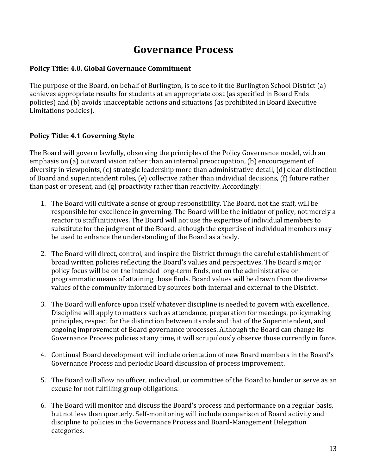# **Governance Process**

#### **Policy Title: 4.0. Global Governance Commitment**

The purpose of the Board, on behalf of Burlington, is to see to it the Burlington School District (a) achieves appropriate results for students at an appropriate cost (as specified in Board Ends policies) and (b) avoids unacceptable actions and situations (as prohibited in Board Executive Limitations policies).

#### **Policy Title: 4.1 Governing Style**

The Board will govern lawfully, observing the principles of the Policy Governance model, with an emphasis on (a) outward vision rather than an internal preoccupation, (b) encouragement of diversity in viewpoints, (c) strategic leadership more than administrative detail, (d) clear distinction of Board and superintendent roles, (e) collective rather than individual decisions, (f) future rather than past or present, and (g) proactivity rather than reactivity. Accordingly:

- 1. The Board will cultivate a sense of group responsibility. The Board, not the staff, will be responsible for excellence in governing. The Board will be the initiator of policy, not merely a reactor to staff initiatives. The Board will not use the expertise of individual members to substitute for the judgment of the Board, although the expertise of individual members may be used to enhance the understanding of the Board as a body.
- 2. The Board will direct, control, and inspire the District through the careful establishment of broad written policies reflecting the Board's values and perspectives. The Board's major policy focus will be on the intended long-term Ends, not on the administrative or programmatic means of attaining those Ends. Board values will be drawn from the diverse values of the community informed by sources both internal and external to the District.
- 3. The Board will enforce upon itself whatever discipline is needed to govern with excellence. Discipline will apply to matters such as attendance, preparation for meetings, policymaking principles, respect for the distinction between its role and that of the Superintendent, and ongoing improvement of Board governance processes. Although the Board can change its Governance Process policies at any time, it will scrupulously observe those currently in force.
- 4. Continual Board development will include orientation of new Board members in the Board's Governance Process and periodic Board discussion of process improvement.
- 5. The Board will allow no officer, individual, or committee of the Board to hinder or serve as an excuse for not fulfilling group obligations.
- 6. The Board will monitor and discuss the Board's process and performance on a regular basis, but not less than quarterly. Self-monitoring will include comparison of Board activity and discipline to policies in the Governance Process and Board-Management Delegation categories.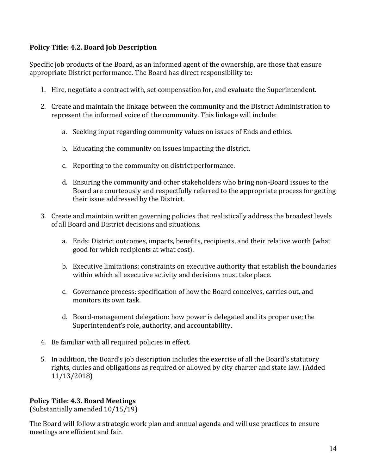### **Policy Title: 4.2. Board Job Description**

Specific job products of the Board, as an informed agent of the ownership, are those that ensure appropriate District performance. The Board has direct responsibility to:

- 1. Hire, negotiate a contract with, set compensation for, and evaluate the Superintendent.
- 2. Create and maintain the linkage between the community and the District Administration to represent the informed voice of the community. This linkage will include:
	- a. Seeking input regarding community values on issues of Ends and ethics.
	- b. Educating the community on issues impacting the district.
	- c. Reporting to the community on district performance.
	- d. Ensuring the community and other stakeholders who bring non-Board issues to the Board are courteously and respectfully referred to the appropriate process for getting their issue addressed by the District.
- 3. Create and maintain written governing policies that realistically address the broadest levels of all Board and District decisions and situations.
	- a. Ends: District outcomes, impacts, benefits, recipients, and their relative worth (what good for which recipients at what cost).
	- b. Executive limitations: constraints on executive authority that establish the boundaries within which all executive activity and decisions must take place.
	- c. Governance process: specification of how the Board conceives, carries out, and monitors its own task.
	- d. Board-management delegation: how power is delegated and its proper use; the Superintendent's role, authority, and accountability.
- 4. Be familiar with all required policies in effect.
- 5. In addition, the Board's job description includes the exercise of all the Board's statutory rights, duties and obligations as required or allowed by city charter and state law. (Added 11/13/2018)

#### **Policy Title: 4.3. Board Meetings**

(Substantially amended 10/15/19)

The Board will follow a strategic work plan and annual agenda and will use practices to ensure meetings are efficient and fair.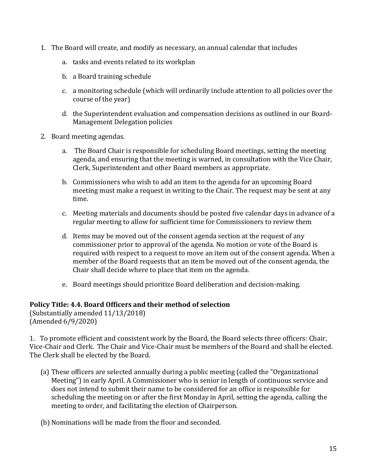- 1. The Board will create, and modify as necessary, an annual calendar that includes
	- a. tasks and events related to its workplan
	- b. a Board training schedule
	- c. a monitoring schedule (which will ordinarily include attention to all policies over the course of the year)
	- d. the Superintendent evaluation and compensation decisions as outlined in our Board-Management Delegation policies
- 2. Board meeting agendas.
	- a. The Board Chair is responsible for scheduling Board meetings, setting the meeting agenda, and ensuring that the meeting is warned, in consultation with the Vice Chair, Clerk, Superintendent and other Board members as appropriate.
	- b. Commissioners who wish to add an item to the agenda for an upcoming Board meeting must make a request in writing to the Chair. The request may be sent at any time.
	- c. Meeting materials and documents should be posted five calendar days in advance of a regular meeting to allow for sufficient time for Commissioners to review them
	- d. Items may be moved out of the consent agenda section at the request of any commissioner prior to approval of the agenda. No motion or vote of the Board is required with respect to a request to move an item out of the consent agenda. When a member of the Board requests that an item be moved out of the consent agenda, the Chair shall decide where to place that item on the agenda.
	- e. Board meetings should prioritize Board deliberation and decision-making.

#### **Policy Title: 4.4. Board Officers and their method of selection**

(Substantially amended 11/13/2018) (Amended 6/9/2020)

1. To promote efficient and consistent work by the Board, the Board selects three officers: Chair, Vice-Chair and Clerk. The Chair and Vice-Chair must be members of the Board and shall be elected. The Clerk shall be elected by the Board.

- (a) These officers are selected annually during a public meeting (called the "Organizational Meeting") in early April. A Commissioner who is senior in length of continuous service and does not intend to submit their name to be considered for an office is responsible for scheduling the meeting on or after the first Monday in April, setting the agenda, calling the meeting to order, and facilitating the election of Chairperson.
- (b) Nominations will be made from the floor and seconded.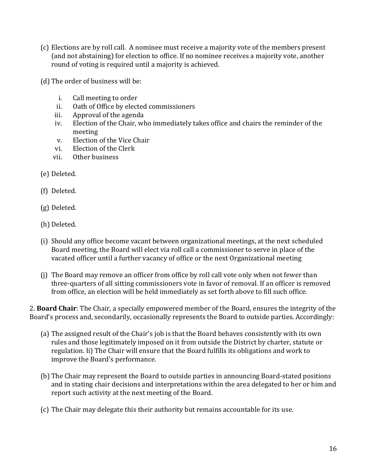- (c) Elections are by roll call. A nominee must receive a majority vote of the members present (and not abstaining) for election to office. If no nominee receives a majority vote, another round of voting is required until a majority is achieved.
- (d) The order of business will be:
	- i. Call meeting to order
	- ii. Oath of Office by elected commissioners
	- iii. Approval of the agenda
	- iv. Election of the Chair, who immediately takes office and chairs the reminder of the meeting
	- v. Election of the Vice Chair
	- vi. Election of the Clerk
	- vii. Other business
- (e) Deleted.
- (f) Deleted.
- (g) Deleted.
- (h) Deleted.
- (i) Should any office become vacant between organizational meetings, at the next scheduled Board meeting, the Board will elect via roll call a commissioner to serve in place of the vacated officer until a further vacancy of office or the next Organizational meeting
- (j) The Board may remove an officer from office by roll call vote only when not fewer than three-quarters of all sitting commissioners vote in favor of removal. If an officer is removed from office, an election will be held immediately as set forth above to fill such office.

2. **Board Chair**: The Chair, a specially empowered member of the Board, ensures the integrity of the Board's process and, secondarily, occasionally represents the Board to outside parties. Accordingly:

- (a) The assigned result of the Chair's job is that the Board behaves consistently with its own rules and those legitimately imposed on it from outside the District by charter, statute or regulation. Ii) The Chair will ensure that the Board fulfills its obligations and work to improve the Board's performance.
- (b) The Chair may represent the Board to outside parties in announcing Board-stated positions and in stating chair decisions and interpretations within the area delegated to her or him and report such activity at the next meeting of the Board.
- (c) The Chair may delegate this their authority but remains accountable for its use.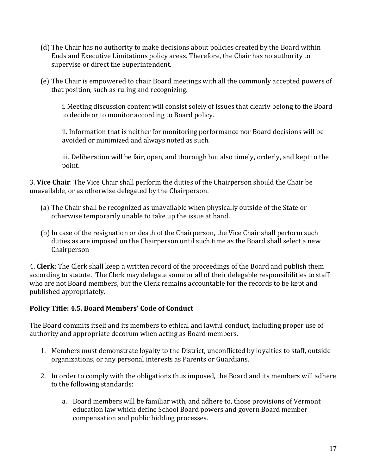- (d) The Chair has no authority to make decisions about policies created by the Board within Ends and Executive Limitations policy areas. Therefore, the Chair has no authority to supervise or direct the Superintendent.
- (e) The Chair is empowered to chair Board meetings with all the commonly accepted powers of that position, such as ruling and recognizing.

i. Meeting discussion content will consist solely of issues that clearly belong to the Board to decide or to monitor according to Board policy.

ii. Information that is neither for monitoring performance nor Board decisions will be avoided or minimized and always noted as such.

iii. Deliberation will be fair, open, and thorough but also timely, orderly, and kept to the point.

3. **Vice Chair**: The Vice Chair shall perform the duties of the Chairperson should the Chair be unavailable, or as otherwise delegated by the Chairperson.

- (a) The Chair shall be recognized as unavailable when physically outside of the State or otherwise temporarily unable to take up the issue at hand.
- (b) In case of the resignation or death of the Chairperson, the Vice Chair shall perform such duties as are imposed on the Chairperson until such time as the Board shall select a new Chairperson

4. **Clerk**: The Clerk shall keep a written record of the proceedings of the Board and publish them according to statute. The Clerk may delegate some or all of their delegable responsibilities to staff who are not Board members, but the Clerk remains accountable for the records to be kept and published appropriately.

# **Policy Title: 4.5. Board Members' Code of Conduct**

The Board commits itself and its members to ethical and lawful conduct, including proper use of authority and appropriate decorum when acting as Board members.

- 1. Members must demonstrate loyalty to the District, unconflicted by loyalties to staff, outside organizations, or any personal interests as Parents or Guardians.
- 2. In order to comply with the obligations thus imposed, the Board and its members will adhere to the following standards:
	- a. Board members will be familiar with, and adhere to, those provisions of Vermont education law which define School Board powers and govern Board member compensation and public bidding processes.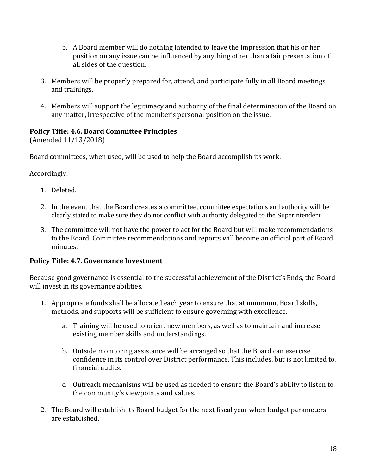- b. A Board member will do nothing intended to leave the impression that his or her position on any issue can be influenced by anything other than a fair presentation of all sides of the question.
- 3. Members will be properly prepared for, attend, and participate fully in all Board meetings and trainings.
- 4. Members will support the legitimacy and authority of the final determination of the Board on any matter, irrespective of the member's personal position on the issue.

### **Policy Title: 4.6. Board Committee Principles**

(Amended 11/13/2018)

Board committees, when used, will be used to help the Board accomplish its work.

Accordingly:

- 1. Deleted.
- 2. In the event that the Board creates a committee, committee expectations and authority will be clearly stated to make sure they do not conflict with authority delegated to the Superintendent
- 3. The committee will not have the power to act for the Board but will make recommendations to the Board. Committee recommendations and reports will become an official part of Board minutes.

#### **Policy Title: 4.7. Governance Investment**

Because good governance is essential to the successful achievement of the District's Ends, the Board will invest in its governance abilities.

- 1. Appropriate funds shall be allocated each year to ensure that at minimum, Board skills, methods, and supports will be sufficient to ensure governing with excellence.
	- a. Training will be used to orient new members, as well as to maintain and increase existing member skills and understandings.
	- b. Outside monitoring assistance will be arranged so that the Board can exercise confidence in its control over District performance. This includes, but is not limited to, financial audits.
	- c. Outreach mechanisms will be used as needed to ensure the Board's ability to listen to the community's viewpoints and values.
- 2. The Board will establish its Board budget for the next fiscal year when budget parameters are established.